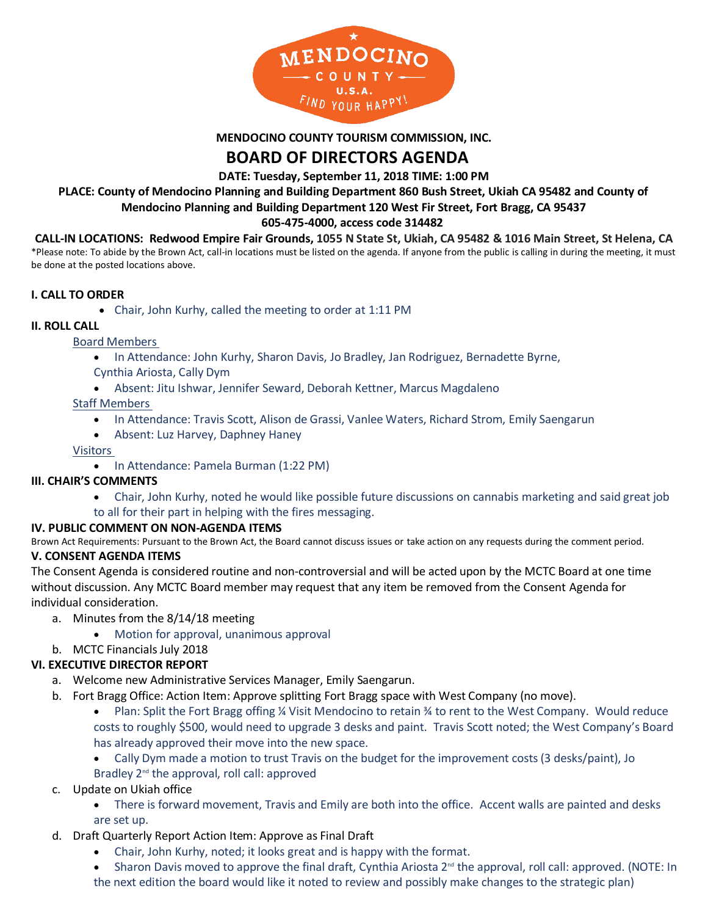

**MENDOCINO COUNTY TOURISM COMMISSION, INC.**

# **BOARD OF DIRECTORS AGENDA**

**DATE: Tuesday, September 11, 2018 TIME: 1:00 PM**

**PLACE: County of Mendocino Planning and Building Department 860 Bush Street, Ukiah CA 95482 and County of Mendocino Planning and Building Department 120 West Fir Street, Fort Bragg, CA 95437**

# **605-475-4000, access code 314482**

**CALL-IN LOCATIONS: Redwood Empire Fair Grounds, 1055 N State St, Ukiah, CA 95482 & 1016 Main Street, St Helena, CA**

\*Please note: To abide by the Brown Act, call-in locations must be listed on the agenda. If anyone from the public is calling in during the meeting, it must be done at the posted locations above.

### **I. CALL TO ORDER**

• Chair, John Kurhy, called the meeting to order at 1:11 PM

### **II. ROLL CALL**

### Board Members

• In Attendance: John Kurhy, Sharon Davis, Jo Bradley, Jan Rodriguez, Bernadette Byrne,

### Cynthia Ariosta, Cally Dym

• Absent: Jitu Ishwar, Jennifer Seward, Deborah Kettner, Marcus Magdaleno

### Staff Members

- In Attendance: Travis Scott, Alison de Grassi, Vanlee Waters, Richard Strom, Emily Saengarun
- Absent: Luz Harvey, Daphney Haney

### Visitors

• In Attendance: Pamela Burman (1:22 PM)

### **III. CHAIR'S COMMENTS**

- Chair, John Kurhy, noted he would like possible future discussions on cannabis marketing and said great job
- to all for their part in helping with the fires messaging.

### **IV. PUBLIC COMMENT ON NON-AGENDA ITEMS**

Brown Act Requirements: Pursuant to the Brown Act, the Board cannot discuss issues or take action on any requests during the comment period. **V. CONSENT AGENDA ITEMS**

The Consent Agenda is considered routine and non-controversial and will be acted upon by the MCTC Board at one time without discussion. Any MCTC Board member may request that any item be removed from the Consent Agenda for individual consideration.

- a. Minutes from the 8/14/18 meeting
	- Motion for approval, unanimous approval

# b. MCTC Financials July 2018

### **VI. EXECUTIVE DIRECTOR REPORT**

- a. Welcome new Administrative Services Manager, Emily Saengarun.
- b. Fort Bragg Office: Action Item: Approve splitting Fort Bragg space with West Company (no move).
	- Plan: Split the Fort Bragg offing ¼ Visit Mendocino to retain ¾ to rent to the West Company. Would reduce costs to roughly \$500, would need to upgrade 3 desks and paint. Travis Scott noted; the West Company's Board has already approved their move into the new space.
	- Cally Dym made a motion to trust Travis on the budget for the improvement costs (3 desks/paint), Jo Bradley 2<sup>nd</sup> the approval, roll call: approved
- c. Update on Ukiah office
	- There is forward movement, Travis and Emily are both into the office. Accent walls are painted and desks are set up.
- d. Draft Quarterly Report Action Item: Approve as Final Draft
	- Chair, John Kurhy, noted; it looks great and is happy with the format.
	- Sharon Davis moved to approve the final draft, Cynthia Ariosta 2<sup>nd</sup> the approval, roll call: approved. (NOTE: In the next edition the board would like it noted to review and possibly make changes to the strategic plan)